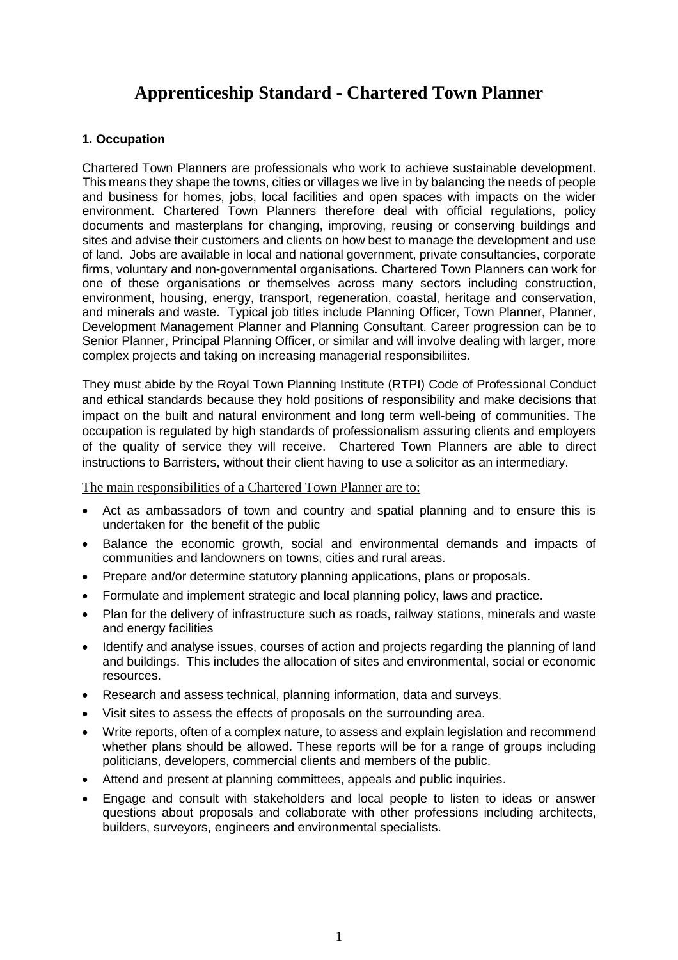# **Apprenticeship Standard - Chartered Town Planner**

## **1. Occupation**

Chartered Town Planners are professionals who work to achieve sustainable development. This means they shape the towns, cities or villages we live in by balancing the needs of people and business for homes, jobs, local facilities and open spaces with impacts on the wider environment. Chartered Town Planners therefore deal with official regulations, policy documents and masterplans for changing, improving, reusing or conserving buildings and sites and advise their customers and clients on how best to manage the development and use of land. Jobs are available in local and national government, private consultancies, corporate firms, voluntary and non-governmental organisations. Chartered Town Planners can work for one of these organisations or themselves across many sectors including construction, environment, housing, energy, transport, regeneration, coastal, heritage and conservation, and minerals and waste. Typical job titles include Planning Officer, Town Planner, Planner, Development Management Planner and Planning Consultant. Career progression can be to Senior Planner, Principal Planning Officer, or similar and will involve dealing with larger, more complex projects and taking on increasing managerial responsibiliites.

They must abide by the Royal Town Planning Institute (RTPI) Code of Professional Conduct and ethical standards because they hold positions of responsibility and make decisions that impact on the built and natural environment and long term well-being of communities. The occupation is regulated by high standards of professionalism assuring clients and employers of the quality of service they will receive. Chartered Town Planners are able to direct instructions to Barristers, without their client having to use a solicitor as an intermediary.

The main responsibilities of a Chartered Town Planner are to:

- Act as ambassadors of town and country and spatial planning and to ensure this is undertaken for the benefit of the public
- Balance the economic growth, social and environmental demands and impacts of communities and landowners on towns, cities and rural areas.
- Prepare and/or determine statutory planning applications, plans or proposals.
- Formulate and implement strategic and local planning policy, laws and practice.
- Plan for the delivery of infrastructure such as roads, railway stations, minerals and waste and energy facilities
- Identify and analyse issues, courses of action and projects regarding the planning of land and buildings. This includes the allocation of sites and environmental, social or economic resources.
- Research and assess technical, planning information, data and surveys.
- Visit sites to assess the effects of proposals on the surrounding area.
- Write reports, often of a complex nature, to assess and explain legislation and recommend whether plans should be allowed. These reports will be for a range of groups including politicians, developers, commercial clients and members of the public.
- Attend and present at planning committees, appeals and public inquiries.
- Engage and consult with stakeholders and local people to listen to ideas or answer questions about proposals and collaborate with other professions including architects, builders, surveyors, engineers and environmental specialists.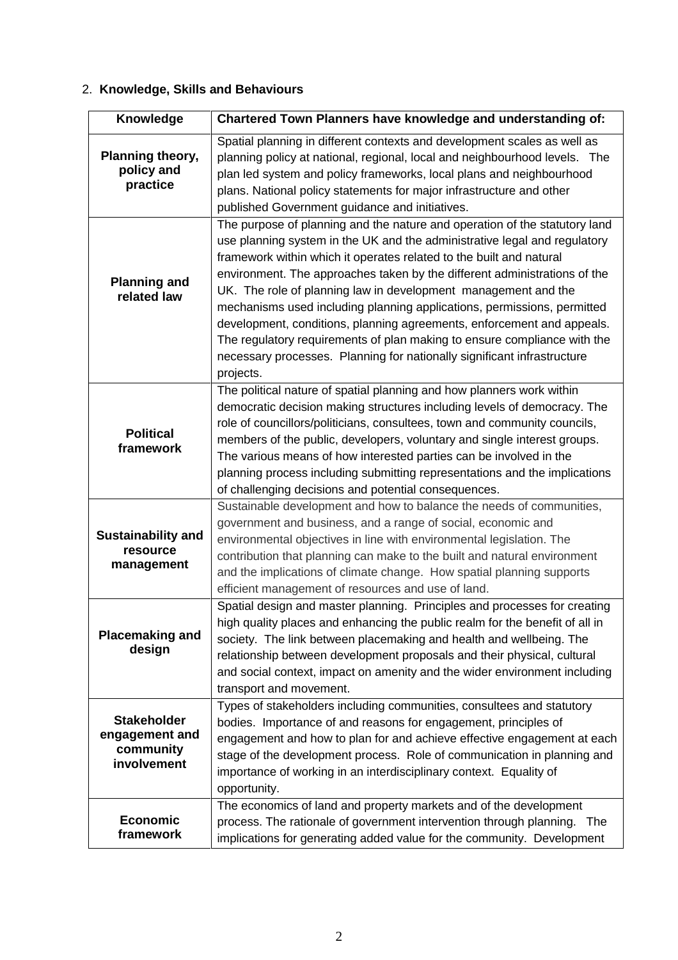## 2. **Knowledge, Skills and Behaviours**

| Knowledge                                                        | Chartered Town Planners have knowledge and understanding of:                                                                                                                                                                                                                                                                                                                                                                                                                                                                                                                                                                                                                                           |
|------------------------------------------------------------------|--------------------------------------------------------------------------------------------------------------------------------------------------------------------------------------------------------------------------------------------------------------------------------------------------------------------------------------------------------------------------------------------------------------------------------------------------------------------------------------------------------------------------------------------------------------------------------------------------------------------------------------------------------------------------------------------------------|
| Planning theory,<br>policy and<br>practice                       | Spatial planning in different contexts and development scales as well as<br>planning policy at national, regional, local and neighbourhood levels. The<br>plan led system and policy frameworks, local plans and neighbourhood<br>plans. National policy statements for major infrastructure and other<br>published Government guidance and initiatives.                                                                                                                                                                                                                                                                                                                                               |
| <b>Planning and</b><br>related law                               | The purpose of planning and the nature and operation of the statutory land<br>use planning system in the UK and the administrative legal and regulatory<br>framework within which it operates related to the built and natural<br>environment. The approaches taken by the different administrations of the<br>UK. The role of planning law in development management and the<br>mechanisms used including planning applications, permissions, permitted<br>development, conditions, planning agreements, enforcement and appeals.<br>The regulatory requirements of plan making to ensure compliance with the<br>necessary processes. Planning for nationally significant infrastructure<br>projects. |
| <b>Political</b><br>framework                                    | The political nature of spatial planning and how planners work within<br>democratic decision making structures including levels of democracy. The<br>role of councillors/politicians, consultees, town and community councils,<br>members of the public, developers, voluntary and single interest groups.<br>The various means of how interested parties can be involved in the<br>planning process including submitting representations and the implications<br>of challenging decisions and potential consequences.                                                                                                                                                                                 |
| <b>Sustainability and</b><br>resource<br>management              | Sustainable development and how to balance the needs of communities,<br>government and business, and a range of social, economic and<br>environmental objectives in line with environmental legislation. The<br>contribution that planning can make to the built and natural environment<br>and the implications of climate change. How spatial planning supports<br>efficient management of resources and use of land.                                                                                                                                                                                                                                                                                |
| <b>Placemaking and</b><br>design                                 | Spatial design and master planning. Principles and processes for creating<br>high quality places and enhancing the public realm for the benefit of all in<br>society. The link between placemaking and health and wellbeing. The<br>relationship between development proposals and their physical, cultural<br>and social context, impact on amenity and the wider environment including<br>transport and movement.                                                                                                                                                                                                                                                                                    |
| <b>Stakeholder</b><br>engagement and<br>community<br>involvement | Types of stakeholders including communities, consultees and statutory<br>bodies. Importance of and reasons for engagement, principles of<br>engagement and how to plan for and achieve effective engagement at each<br>stage of the development process. Role of communication in planning and<br>importance of working in an interdisciplinary context. Equality of<br>opportunity.                                                                                                                                                                                                                                                                                                                   |
| <b>Economic</b><br>framework                                     | The economics of land and property markets and of the development<br>process. The rationale of government intervention through planning. The<br>implications for generating added value for the community. Development                                                                                                                                                                                                                                                                                                                                                                                                                                                                                 |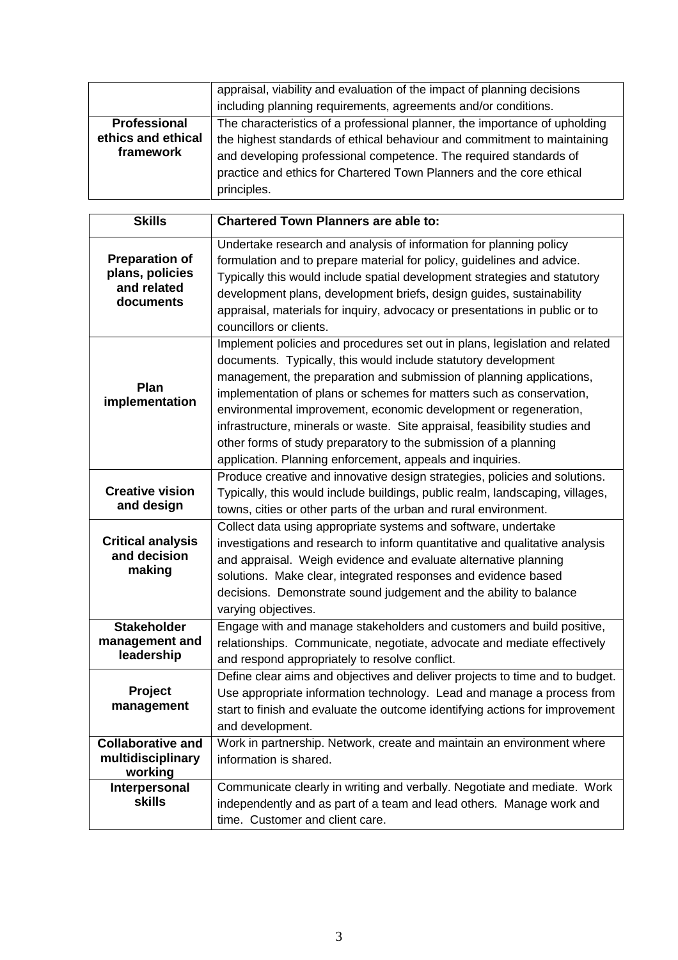|                     | appraisal, viability and evaluation of the impact of planning decisions    |
|---------------------|----------------------------------------------------------------------------|
|                     | including planning requirements, agreements and/or conditions.             |
| <b>Professional</b> | The characteristics of a professional planner, the importance of upholding |
| ethics and ethical  | the highest standards of ethical behaviour and commitment to maintaining   |
| framework           | and developing professional competence. The required standards of          |
|                     | practice and ethics for Chartered Town Planners and the core ethical       |
|                     | principles.                                                                |

| <b>Skills</b>                                                        | <b>Chartered Town Planners are able to:</b>                                                                                                                                                                                                                                                                                                                                                                                                                                                                                                                                      |
|----------------------------------------------------------------------|----------------------------------------------------------------------------------------------------------------------------------------------------------------------------------------------------------------------------------------------------------------------------------------------------------------------------------------------------------------------------------------------------------------------------------------------------------------------------------------------------------------------------------------------------------------------------------|
| <b>Preparation of</b><br>plans, policies<br>and related<br>documents | Undertake research and analysis of information for planning policy<br>formulation and to prepare material for policy, guidelines and advice.<br>Typically this would include spatial development strategies and statutory<br>development plans, development briefs, design guides, sustainability<br>appraisal, materials for inquiry, advocacy or presentations in public or to<br>councillors or clients.                                                                                                                                                                      |
| Plan<br>implementation                                               | Implement policies and procedures set out in plans, legislation and related<br>documents. Typically, this would include statutory development<br>management, the preparation and submission of planning applications,<br>implementation of plans or schemes for matters such as conservation,<br>environmental improvement, economic development or regeneration,<br>infrastructure, minerals or waste. Site appraisal, feasibility studies and<br>other forms of study preparatory to the submission of a planning<br>application. Planning enforcement, appeals and inquiries. |
| <b>Creative vision</b><br>and design                                 | Produce creative and innovative design strategies, policies and solutions.<br>Typically, this would include buildings, public realm, landscaping, villages,<br>towns, cities or other parts of the urban and rural environment.                                                                                                                                                                                                                                                                                                                                                  |
| <b>Critical analysis</b><br>and decision<br>making                   | Collect data using appropriate systems and software, undertake<br>investigations and research to inform quantitative and qualitative analysis<br>and appraisal. Weigh evidence and evaluate alternative planning<br>solutions. Make clear, integrated responses and evidence based<br>decisions. Demonstrate sound judgement and the ability to balance<br>varying objectives.                                                                                                                                                                                                   |
| <b>Stakeholder</b><br>management and<br>leadership                   | Engage with and manage stakeholders and customers and build positive,<br>relationships. Communicate, negotiate, advocate and mediate effectively<br>and respond appropriately to resolve conflict.                                                                                                                                                                                                                                                                                                                                                                               |
| Project<br>management                                                | Define clear aims and objectives and deliver projects to time and to budget.<br>Use appropriate information technology. Lead and manage a process from<br>start to finish and evaluate the outcome identifying actions for improvement<br>and development.                                                                                                                                                                                                                                                                                                                       |
| <b>Collaborative and</b><br>multidisciplinary<br>working             | Work in partnership. Network, create and maintain an environment where<br>information is shared.                                                                                                                                                                                                                                                                                                                                                                                                                                                                                 |
| Interpersonal<br><b>skills</b>                                       | Communicate clearly in writing and verbally. Negotiate and mediate. Work<br>independently and as part of a team and lead others. Manage work and<br>time. Customer and client care.                                                                                                                                                                                                                                                                                                                                                                                              |